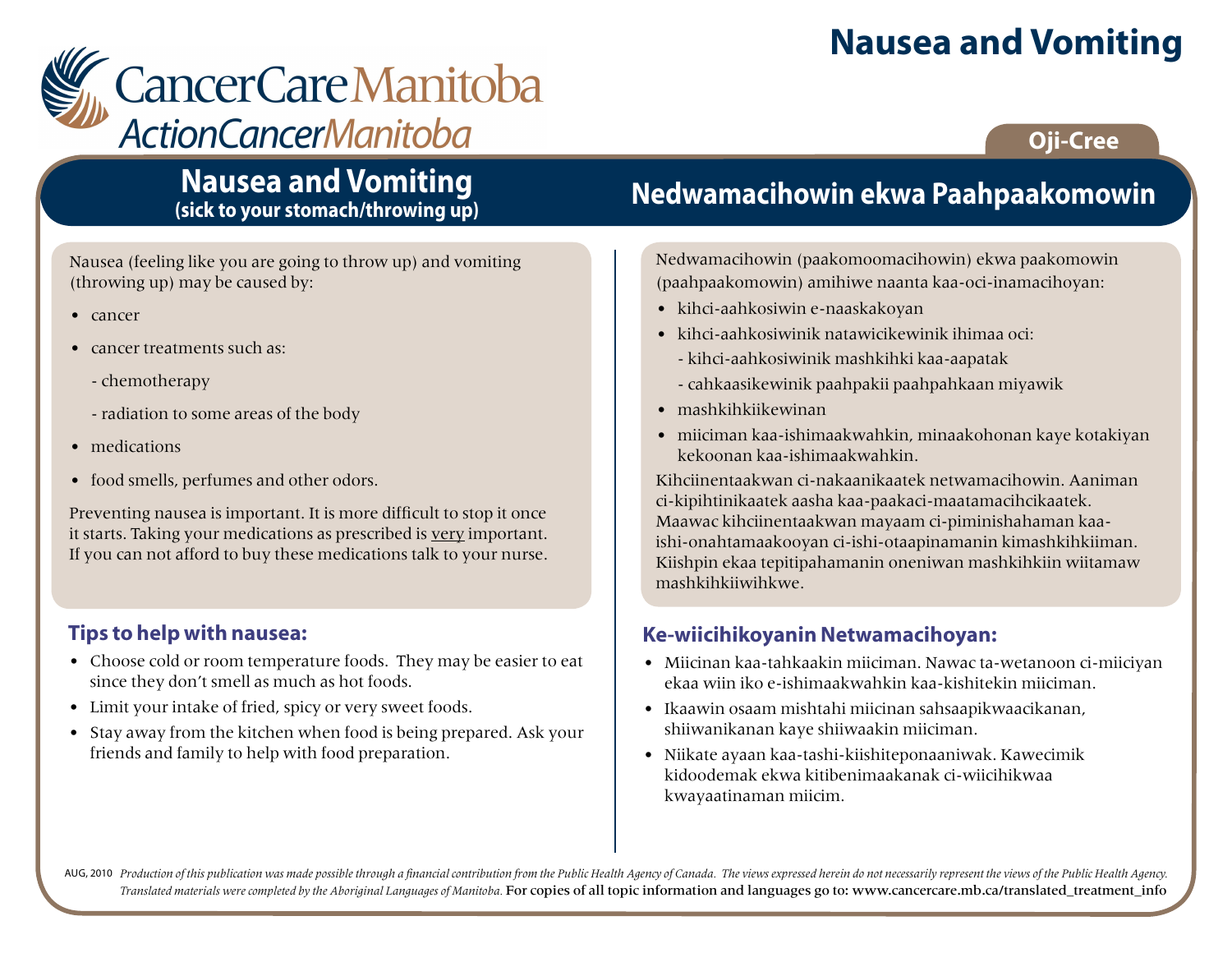# **Nausea and Vomiting**

# CancerCare Manitoba **ActionCancerManitoba**

## **Oji-Cree**

## **Nausea and Vomiting (sick to your stomach/throwing up)**

Nausea (feeling like you are going to throw up) and vomiting (throwing up) may be caused by:

- cancer
- cancer treatments such as:
	- chemotherapy
	- radiation to some areas of the body
- medications
- food smells, perfumes and other odors.

Preventing nausea is important. It is more difficult to stop it once it starts. Taking your medications as prescribed is very important. If you can not afford to buy these medications talk to your nurse.

#### **Tips to help with nausea:**

- Choose cold or room temperature foods. They may be easier to eat since they don't smell as much as hot foods.
- Limit your intake of fried, spicy or very sweet foods.
- Stay away from the kitchen when food is being prepared. Ask your friends and family to help with food preparation.

# **Nedwamacihowin ekwa Paahpaakomowin**

Nedwamacihowin (paakomoomacihowin) ekwa paakomowin (paahpaakomowin) amihiwe naanta kaa-oci-inamacihoyan:

- kihci-aahkosiwin e-naaskakoyan
- kihci-aahkosiwinik natawicikewinik ihimaa oci:
	- kihci-aahkosiwinik mashkihki kaa-aapatak
	- cahkaasikewinik paahpakii paahpahkaan miyawik
- mashkihkiikewinan
- miiciman kaa-ishimaakwahkin, minaakohonan kaye kotakiyan kekoonan kaa-ishimaakwahkin.

Kihciinentaakwan ci-nakaanikaatek netwamacihowin. Aaniman ci-kipihtinikaatek aasha kaa-paakaci-maatamacihcikaatek. Maawac kihciinentaakwan mayaam ci-piminishahaman kaaishi-onahtamaakooyan ci-ishi-otaapinamanin kimashkihkiiman. Kiishpin ekaa tepitipahamanin oneniwan mashkihkiin wiitamaw mashkihkiiwihkwe.

#### **Ke-wiicihikoyanin Netwamacihoyan:**

- Miicinan kaa-tahkaakin miiciman. Nawac ta-wetanoon ci-miiciyan ekaa wiin iko e-ishimaakwahkin kaa-kishitekin miiciman.
- Ikaawin osaam mishtahi miicinan sahsaapikwaacikanan, shiiwanikanan kaye shiiwaakin miiciman.
- Niikate ayaan kaa-tashi-kiishiteponaaniwak. Kawecimik kidoodemak ekwa kitibenimaakanak ci-wiicihikwaa kwayaatinaman miicim.

AUG, 2010 Production of this publication was made possible through a financial contribution from the Public Health Agency of Canada. The views expressed herein do not necessarily represent the views of the Public Health Ag *Translated materials were completed by the Aboriginal Languages of Manitoba.* For copies of all topic information and languages go to: www.cancercare.mb.ca/translated\_treatment\_info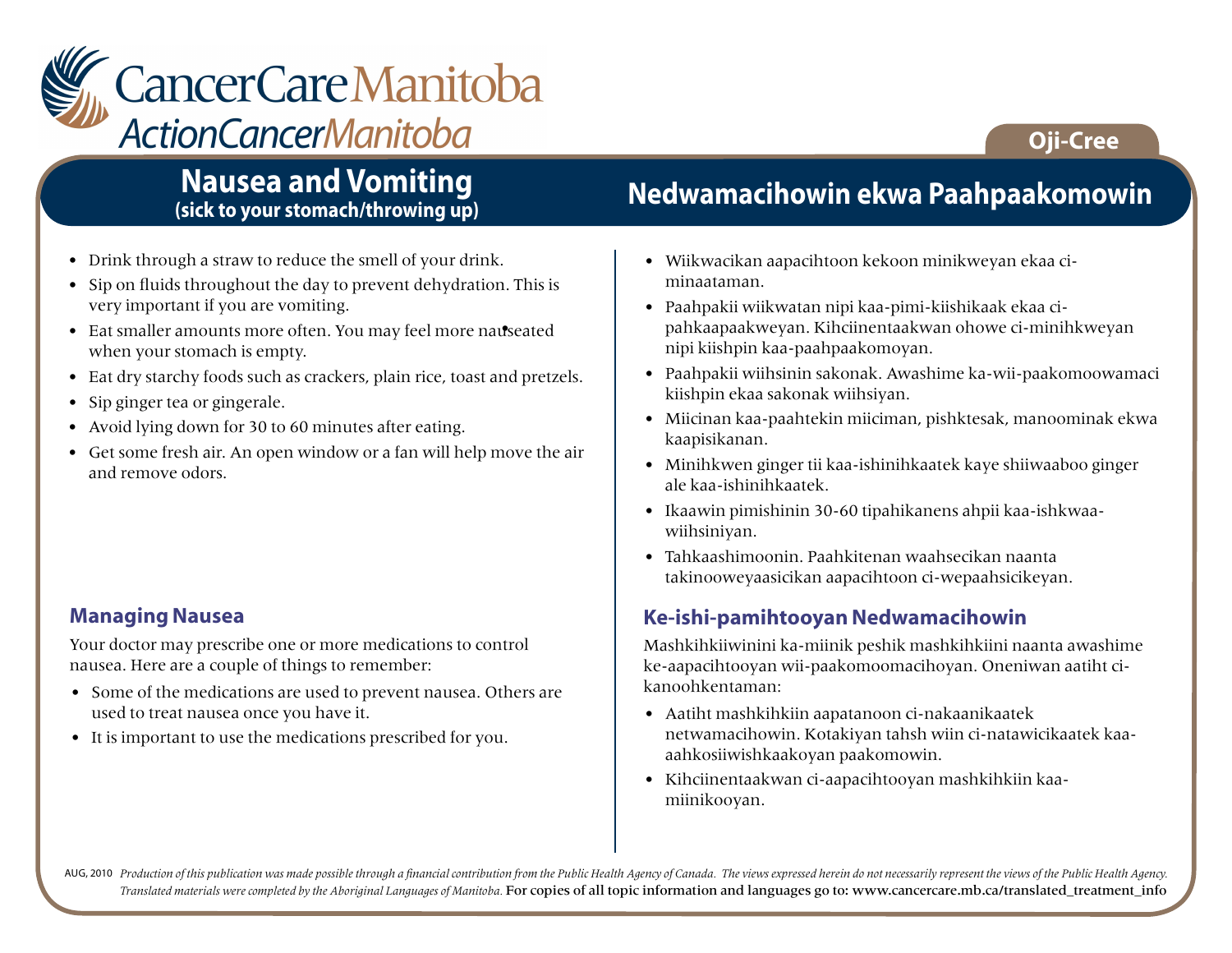

## **Nausea and Vomiting (sick to your stomach/throwing up)**

- Drink through a straw to reduce the smell of your drink.
- Sip on fluids throughout the day to prevent dehydration. This is very important if you are vomiting.
- Eat smaller amounts more often. You may feel more nauseated when your stomach is empty.
- Eat dry starchy foods such as crackers, plain rice, toast and pretzels.
- Sip ginger tea or gingerale.
- Avoid lying down for 30 to 60 minutes after eating.
- Get some fresh air. An open window or a fan will help move the air and remove odors.

#### **Managing Nausea**

Your doctor may prescribe one or more medications to control nausea. Here are a couple of things to remember:

- Some of the medications are used to prevent nausea. Others are used to treat nausea once you have it.
- It is important to use the medications prescribed for you.

## **Nedwamacihowin ekwa Paahpaakomowin**

**Oji-Cree**

- Wiikwacikan aapacihtoon kekoon minikweyan ekaa ciminaataman.
- Paahpakii wiikwatan nipi kaa-pimi-kiishikaak ekaa cipahkaapaakweyan. Kihciinentaakwan ohowe ci-minihkweyan nipi kiishpin kaa-paahpaakomoyan.
- Paahpakii wiihsinin sakonak. Awashime ka-wii-paakomoowamaci kiishpin ekaa sakonak wiihsiyan.
- Miicinan kaa-paahtekin miiciman, pishktesak, manoominak ekwa kaapisikanan.
- Minihkwen ginger tii kaa-ishinihkaatek kaye shiiwaaboo ginger ale kaa-ishinihkaatek.
- Ikaawin pimishinin 30-60 tipahikanens ahpii kaa-ishkwaawiihsiniyan.
- Tahkaashimoonin. Paahkitenan waahsecikan naanta takinooweyaasicikan aapacihtoon ci-wepaahsicikeyan.

## **Ke-ishi-pamihtooyan Nedwamacihowin**

Mashkihkiiwinini ka-miinik peshik mashkihkiini naanta awashime ke-aapacihtooyan wii-paakomoomacihoyan. Oneniwan aatiht cikanoohkentaman:

- Aatiht mashkihkiin aapatanoon ci-nakaanikaatek netwamacihowin. Kotakiyan tahsh wiin ci-natawicikaatek kaaaahkosiiwishkaakoyan paakomowin.
- Kihciinentaakwan ci-aapacihtooyan mashkihkiin kaamiinikooyan.

AUG, 2010 Production of this publication was made possible through a financial contribution from the Public Health Agency of Canada. The views expressed herein do not necessarily represent the views of the Public Health Ag *Translated materials were completed by the Aboriginal Languages of Manitoba.* For copies of all topic information and languages go to: www.cancercare.mb.ca/translated\_treatment\_info